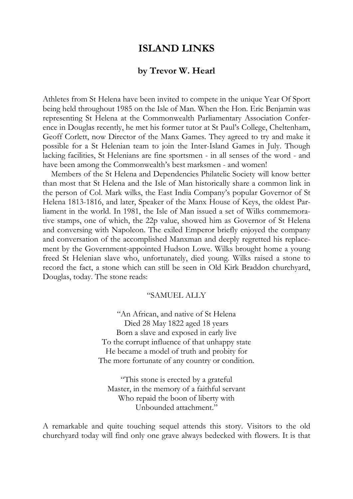## **ISLAND LINKS**

## **by Trevor W. Hearl**

Athletes from St Helena have been invited to compete in the unique Year Of Sport being held throughout 1985 on the Isle of Man. When the Hon. Eric Benjamin was representing St Helena at the Commonwealth Parliamentary Association Conference in Douglas recently, he met his former tutor at St Paul's College, Cheltenham, Geoff Corlett, now Director of the Manx Games. They agreed to try and make it possible for a St Helenian team to join the Inter-Island Games in July. Though lacking facilities, St Helenians are fine sportsmen - in all senses of the word - and have been among the Commonwealth's best marksmen - and women!

Members of the St Helena and Dependencies Philatelic Society will know better than most that St Helena and the Isle of Man historically share a common link in the person of Col. Mark wilks, the East India Company's popular Governor of St Helena 1813-1816, and later, Speaker of the Manx House of Keys, the oldest Parliament in the world. In 1981, the Isle of Man issued a set of Wilks commemorative stamps, one of which, the 22p value, showed him as Governor of St Helena and conversing with Napoleon. The exiled Emperor briefly enjoyed the company and conversation of the accomplished Manxman and deeply regretted his replacement by the Government-appointed Hudson Lowe. Wilks brought home a young freed St Helenian slave who, unfortunately, died young. Wilks raised a stone to record the fact, a stone which can still be seen in Old Kirk Braddon churchyard, Douglas, today. The stone reads:

## "SAMUEL ALLY

"An African, and native of St Helena Died 28 May 1822 aged 18 years Born a slave and exposed in early live To the corrupt influence of that unhappy state He became a model of truth and probity for The more fortunate of any country or condition.

"This stone is erected by a grateful Master, in the memory of a faithful servant Who repaid the boon of liberty with Unbounded attachment."

A remarkable and quite touching sequel attends this story. Visitors to the old churchyard today will find only one grave always bedecked with flowers. It is that